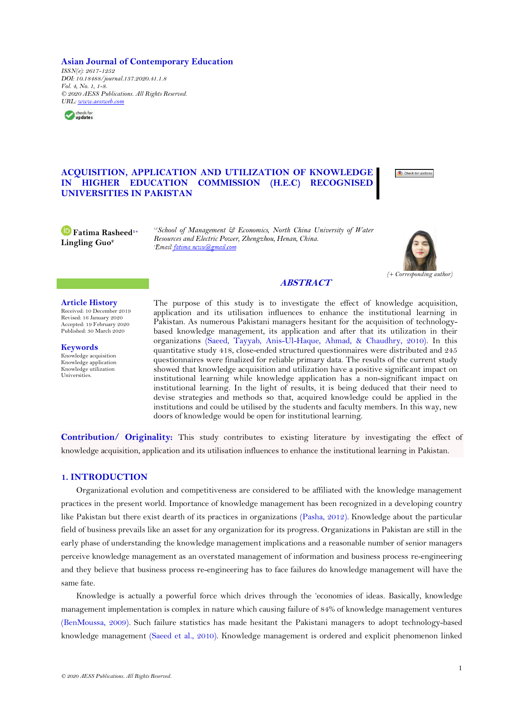**Asian Journal of Contemporary Education**

*ISSN(e): 2617-1252 DOI: 10.18488/journal.137.2020.41.1.8 Vol. 4, No. 1, 1-8. © 2020 AESS Publications. All Rights Reserved. [URL:](http://www.aessweb.com/journals/June2020/5052/4919) [www.aessweb.com](http://www.aessweb.com/)*



# **ACQUISITION, APPLICATION AND UTILIZATION OF KNOWLEDGE IN HIGHER EDUCATION COMMISSION (H.E.C) RECOGNISED UNIVERSITIES IN PAKISTAN**



**Fatima Rasheed1+ Lingling Guo<sup>2</sup>** 

*1,2School of Management & Economics, North China University of Water Resources and Electric Power, Zhengzhou, Henan, China.*



## **ABSTRACT**

### **Article History**

Received: 10 December 2019 Revised: 16 January 2020 Accepted: 19 February 2020 Published: 30 March 2020

**Keywords** Knowledge acquisition Knowledge application Knowledge utilization Universities.

The purpose of this study is to investigate the effect of knowledge acquisition, application and its utilisation influences to enhance the institutional learning in Pakistan. As numerous Pakistani managers hesitant for the acquisition of technologybased knowledge management, its application and after that its utilization in their organizations [\(Saeed, Tayyab, Anis-Ul-Haque, Ahmad, & Chaudhry, 2010\)](#page-7-0). In this quantitative study 418, close-ended structured questionnaires were distributed and 245 questionnaires were finalized for reliable primary data. The results of the current study showed that knowledge acquisition and utilization have a positive significant impact on institutional learning while knowledge application has a non-significant impact on institutional learning. In the light of results, it is being deduced that their need to devise strategies and methods so that, acquired knowledge could be applied in the institutions and could be utilised by the students and faculty members. In this way, new doors of knowledge would be open for institutional learning.

**Contribution/ Originality:** This study contributes to existing literature by investigating the effect of knowledge acquisition, application and its utilisation influences to enhance the institutional learning in Pakistan.

## **1. INTRODUCTION**

Organizational evolution and competitiveness are considered to be affiliated with the knowledge management practices in the present world. Importance of knowledge management has been recognized in a developing country like Pakistan but there exist dearth of its practices in organizations [\(Pasha, 2012\)](#page-6-0). Knowledge about the particular field of business prevails like an asset for any organization for its progress. Organizations in Pakistan are still in the early phase of understanding the knowledge management implications and a reasonable number of senior managers perceive knowledge management as an overstated management of information and business process re-engineering and they believe that business process re-engineering has to face failures do knowledge management will have the same fate.

Knowledge is actually a powerful force which drives through the "economies of ideas. Basically, knowledge management implementation is complex in nature which causing failure of 84% of knowledge management ventures [\(BenMoussa, 2009\)](#page-5-0). Such failure statistics has made hesitant the Pakistani managers to adopt technology-based knowledge management [\(Saeed et al., 2010\)](#page-7-0). Knowledge management is ordered and explicit phenomenon linked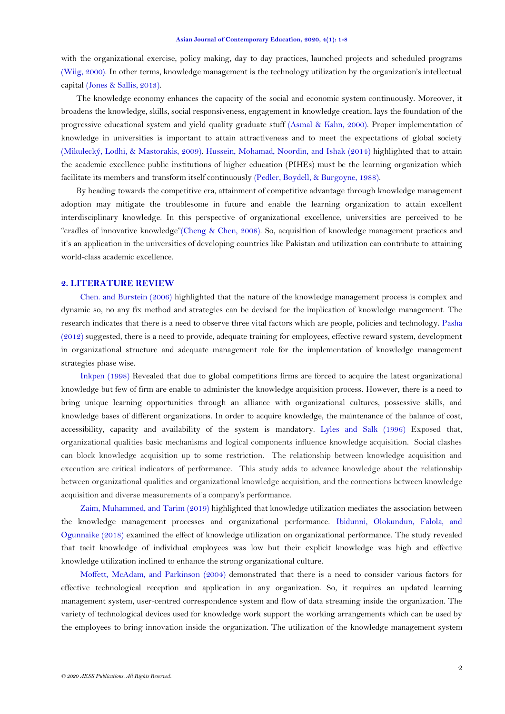with the organizational exercise, policy making, day to day practices, launched projects and scheduled programs [\(Wiig, 2000\)](#page-7-1). In other terms, knowledge management is the technology utilization by the organization"s intellectual capital [\(Jones & Sallis, 2013\)](#page-6-1).

The knowledge economy enhances the capacity of the social and economic system continuously. Moreover, it broadens the knowledge, skills, social responsiveness, engagement in knowledge creation, lays the foundation of the progressive educational system and yield quality graduate stuff [\(Asmal & Kahn, 2000\)](#page-5-1). Proper implementation of knowledge in universities is important to attain attractiveness and to meet the expectations of global society [\(Mikulecký, Lodhi, & Mastorakis, 2009\)](#page-6-2). [Hussein, Mohamad, Noordin, and Ishak \(2014\)](#page-6-3) highlighted that to attain the academic excellence public institutions of higher education (PIHEs) must be the learning organization which facilitate its members and transform itself continuously [\(Pedler, Boydell, & Burgoyne, 1988\)](#page-6-4).

By heading towards the competitive era, attainment of competitive advantage through knowledge management adoption may mitigate the troublesome in future and enable the learning organization to attain excellent interdisciplinary knowledge. In this perspective of organizational excellence, universities are perceived to be "cradles of innovative knowledge"[\(Cheng & Chen, 2008\)](#page-5-2). So, acquisition of knowledge management practices and it's an application in the universities of developing countries like Pakistan and utilization can contribute to attaining world-class academic excellence.

## **2. LITERATURE REVIEW**

[Chen. and Burstein \(2006\)](#page-5-3) highlighted that the nature of the knowledge management process is complex and dynamic so, no any fix method and strategies can be devised for the implication of knowledge management. The research indicates that there is a need to observe three vital factors which are people, policies and technology. [Pasha](#page-6-0)  [\(2012\)](#page-6-0) suggested, there is a need to provide, adequate training for employees, effective reward system, development in organizational structure and adequate management role for the implementation of knowledge management strategies phase wise.

[Inkpen \(1998\)](#page-6-5) Revealed that due to global competitions firms are forced to acquire the latest organizational knowledge but few of firm are enable to administer the knowledge acquisition process. However, there is a need to bring unique learning opportunities through an alliance with organizational cultures, possessive skills, and knowledge bases of different organizations. In order to acquire knowledge, the maintenance of the balance of cost, accessibility, capacity and availability of the system is mandatory. [Lyles and Salk \(1996\)](#page-6-6) Exposed that, organizational qualities basic mechanisms and logical components influence knowledge acquisition. Social clashes can block knowledge acquisition up to some restriction. The relationship between knowledge acquisition and execution are critical indicators of performance. This study adds to advance knowledge about the relationship between organizational qualities and organizational knowledge acquisition, and the connections between knowledge acquisition and diverse measurements of a company's performance.

[Zaim, Muhammed, and Tarim \(2019\)](#page-7-2) highlighted that knowledge utilization mediates the association between the knowledge management processes and organizational performance. [Ibidunni, Olokundun, Falola, and](#page-6-7)  [Ogunnaike \(2018\)](#page-6-7) examined the effect of knowledge utilization on organizational performance. The study revealed that tacit knowledge of individual employees was low but their explicit knowledge was high and effective knowledge utilization inclined to enhance the strong organizational culture.

[Moffett, McAdam, and Parkinson \(2004\)](#page-6-8) demonstrated that there is a need to consider various factors for effective technological reception and application in any organization. So, it requires an updated learning management system, user-centred correspondence system and flow of data streaming inside the organization. The variety of technological devices used for knowledge work support the working arrangements which can be used by the employees to bring innovation inside the organization. The utilization of the knowledge management system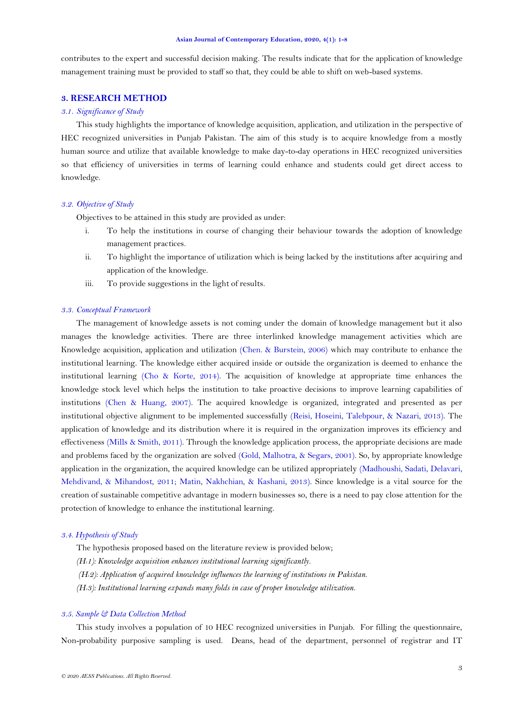#### **Asian Journal of Contemporary Education, 2020, 4(1): 1-8**

contributes to the expert and successful decision making. The results indicate that for the application of knowledge management training must be provided to staff so that, they could be able to shift on web-based systems.

# **3. RESEARCH METHOD**

## *3.1. Significance of Study*

This study highlights the importance of knowledge acquisition, application, and utilization in the perspective of HEC recognized universities in Punjab Pakistan. The aim of this study is to acquire knowledge from a mostly human source and utilize that available knowledge to make day-to-day operations in HEC recognized universities so that efficiency of universities in terms of learning could enhance and students could get direct access to knowledge.

### *3.2. Objective of Study*

Objectives to be attained in this study are provided as under:

- i. To help the institutions in course of changing their behaviour towards the adoption of knowledge management practices.
- ii. To highlight the importance of utilization which is being lacked by the institutions after acquiring and application of the knowledge.
- iii. To provide suggestions in the light of results.

## *3.3. Conceptual Framework*

The management of knowledge assets is not coming under the domain of knowledge management but it also manages the knowledge activities. There are three interlinked knowledge management activities which are Knowledge acquisition, application and utilization [\(Chen. & Burstein, 2006\)](#page-5-3) which may contribute to enhance the institutional learning. The knowledge either acquired inside or outside the organization is deemed to enhance the institutional learning [\(Cho & Korte, 2014\)](#page-5-4). The acquisition of knowledge at appropriate time enhances the knowledge stock level which helps the institution to take proactive decisions to improve learning capabilities of institutions [\(Chen & Huang, 2007\)](#page-5-5). The acquired knowledge is organized, integrated and presented as per institutional objective alignment to be implemented successfully [\(Reisi, Hoseini, Talebpour, & Nazari, 2013\)](#page-6-9). The application of knowledge and its distribution where it is required in the organization improves its efficiency and effectiveness [\(Mills & Smith, 2011\)](#page-6-10). Through the knowledge application process, the appropriate decisions are made and problems faced by the organization are solved [\(Gold, Malhotra, & Segars, 2001\)](#page-6-11). So, by appropriate knowledge application in the organization, the acquired knowledge can be utilized appropriately [\(Madhoushi, Sadati, Delavari,](#page-6-12)  [Mehdivand, & Mihandost, 2011;](#page-6-12) [Matin, Nakhchian, & Kashani, 2013\)](#page-6-13). Since knowledge is a vital source for the creation of sustainable competitive advantage in modern businesses so, there is a need to pay close attention for the protection of knowledge to enhance the institutional learning.

### *3.4. Hypothesis of Study*

- The hypothesis proposed based on the literature review is provided below;
- *(H11): Knowledge acquisition enhances institutional learning significantly.*
- *(H12): Application of acquired knowledge influences the learning of institutions in Pakistan.*
- *(H13): Institutional learning expands many folds in case of proper knowledge utilization.*

### *3.5. Sample & Data Collection Method*

This study involves a population of 10 HEC recognized universities in Punjab. For filling the questionnaire, Non-probability purposive sampling is used. Deans, head of the department, personnel of registrar and IT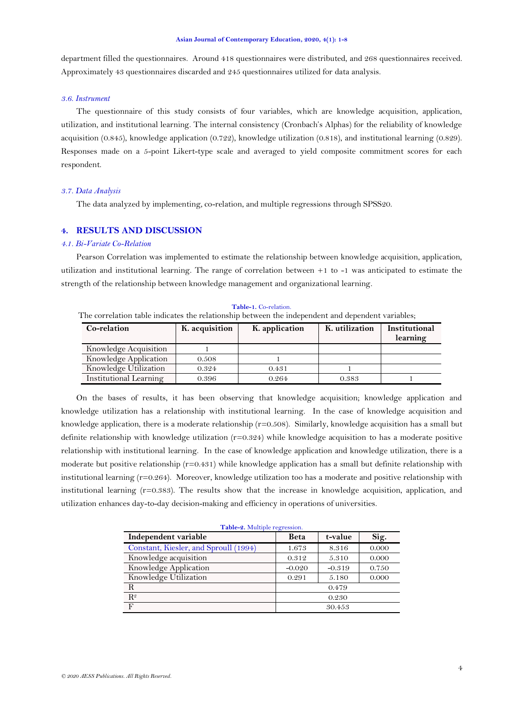#### **Asian Journal of Contemporary Education, 2020, 4(1): 1-8**

department filled the questionnaires. Around 418 questionnaires were distributed, and 268 questionnaires received. Approximately 43 questionnaires discarded and 245 questionnaires utilized for data analysis.

## *3.6. Instrument*

The questionnaire of this study consists of four variables, which are knowledge acquisition, application, utilization, and institutional learning. The internal consistency (Cronbach"s Alphas) for the reliability of knowledge acquisition (0.845), knowledge application (0.722), knowledge utilization (0.818), and institutional learning (0.829). Responses made on a 5-point Likert-type scale and averaged to yield composite commitment scores for each respondent.

## *3.7. Data Analysis*

The data analyzed by implementing, co-relation, and multiple regressions through SPSS20.

## **4. RESULTS AND DISCUSSION**

### *4.1. Bi-Variate Co-Relation*

Pearson Correlation was implemented to estimate the relationship between knowledge acquisition, application, utilization and institutional learning. The range of correlation between +1 to -1 was anticipated to estimate the strength of the relationship between knowledge management and organizational learning.

**Table-1.** Co-relation.

 The correlation table indicates the relationship between the independent and dependent variables; **Co-relation K. acquisition K. application K. utilization Institutional learning** Knowledge Acquisition | 1 Knowledge Application 0.508 1 Knowledge Utilization 0.324 0.431 1 Institutional Learning  $0.396$   $0.264$  0.383 1

On the bases of results, it has been observing that knowledge acquisition; knowledge application and knowledge utilization has a relationship with institutional learning. In the case of knowledge acquisition and knowledge application, there is a moderate relationship  $(r=0.508)$ . Similarly, knowledge acquisition has a small but definite relationship with knowledge utilization  $(r=0.324)$  while knowledge acquisition to has a moderate positive relationship with institutional learning. In the case of knowledge application and knowledge utilization, there is a moderate but positive relationship (r=0.431) while knowledge application has a small but definite relationship with institutional learning (r=0.264). Moreover, knowledge utilization too has a moderate and positive relationship with institutional learning (r=0.383). The results show that the increase in knowledge acquisition, application, and utilization enhances day-to-day decision-making and efficiency in operations of universities.

<span id="page-3-0"></span>

| Table-2. Multiple regression.         |             |          |       |
|---------------------------------------|-------------|----------|-------|
| Independent variable                  | <b>Beta</b> | t-value  | Sig.  |
| Constant, Kiesler, and Sproull (1994) | 1.673       | 8.316    | 0.000 |
| Knowledge acquisition                 | 0.312       | 5.310    | 0.000 |
| Knowledge Application                 | $-0.020$    | $-0.319$ | 0.750 |
| Knowledge Utilization                 | 0.291       | 5.180    | 0.000 |
| R                                     | 0.479       |          |       |
| R <sup>2</sup>                        | 0.230       |          |       |
| $\mathbf{F}$                          | 30.453      |          |       |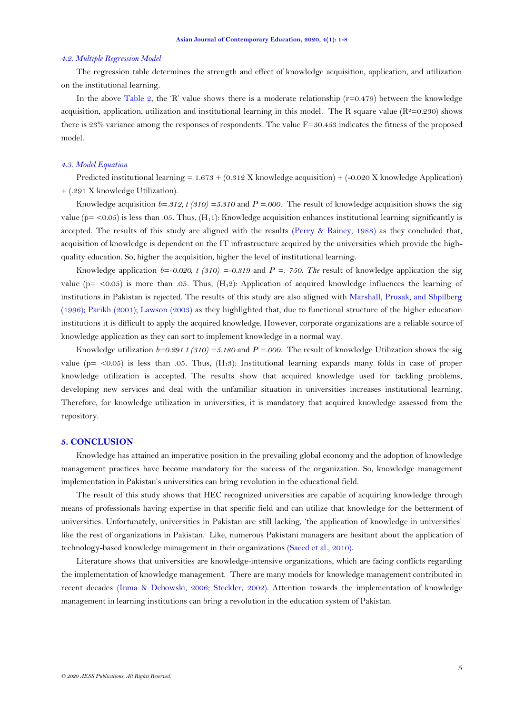#### *4.2. Multiple Regression Model*

The regression table determines the strength and effect of knowledge acquisition, application, and utilization on the institutional learning.

In the above [Table 2](#page-3-0), the 'R' value shows there is a moderate relationship ( $r=0.479$ ) between the knowledge acquisition, application, utilization and institutional learning in this model. The R square value ( $R^2=0.230$ ) shows there is 23% variance among the responses of respondents. The value  $F=30.453$  indicates the fitness of the proposed model.

### *4.3. Model Equation*

Predicted institutional learning =  $1.673 + (0.312 \text{ X}$  knowledge acquisition) + (-0.020 X knowledge Application) + (.291 X knowledge Utilization).

Knowledge acquisition  $b=312$ ,  $t(310)=5.310$  and  $P=0.00$ . The result of knowledge acquisition shows the sig value ( $p = 0.05$ ) is less than .05. Thus, ( $H_1$ 1): Knowledge acquisition enhances institutional learning significantly is accepted. The results of this study are aligned with the results [\(Perry & Rainey, 1988\)](#page-6-14) as they concluded that, acquisition of knowledge is dependent on the IT infrastructure acquired by the universities which provide the highquality education. So, higher the acquisition, higher the level of institutional learning.

Knowledge application  $b=-0.020$ ,  $t(310) = -0.319$  and  $P = 0.750$ . The result of knowledge application the sig value ( $p=$  <0.05) is more than .05. Thus, ( $H_1$ 2): Application of acquired knowledge influences the learning of institutions in Pakistan is rejected. The results of this study are also aligned with [Marshall, Prusak, and Shpilberg](#page-6-15)  [\(1996\)](#page-6-15); [Parikh \(2001\)](#page-6-16); [Lawson \(2003\)](#page-6-17) as they highlighted that, due to functional structure of the higher education institutions it is difficult to apply the acquired knowledge. However, corporate organizations are a reliable source of knowledge application as they can sort to implement knowledge in a normal way.

Knowledge utilization  $b=0.291$  t (310) =5.180 and  $P=0.00$ . The result of knowledge Utilization shows the sig value ( $p = \langle 0.05 \rangle$  is less than .05. Thus,  $(H_13)$ : Institutional learning expands many folds in case of proper knowledge utilization is accepted. The results show that acquired knowledge used for tackling problems, developing new services and deal with the unfamiliar situation in universities increases institutional learning. Therefore, for knowledge utilization in universities, it is mandatory that acquired knowledge assessed from the repository.

#### **5. CONCLUSION**

Knowledge has attained an imperative position in the prevailing global economy and the adoption of knowledge management practices have become mandatory for the success of the organization. So, knowledge management implementation in Pakistan"s universities can bring revolution in the educational field.

The result of this study shows that HEC recognized universities are capable of acquiring knowledge through means of professionals having expertise in that specific field and can utilize that knowledge for the betterment of universities. Unfortunately, universities in Pakistan are still lacking, "the application of knowledge in universities" like the rest of organizations in Pakistan. Like, numerous Pakistani managers are hesitant about the application of technology-based knowledge management in their organizations [\(Saeed et al., 2010\)](#page-7-0).

Literature shows that universities are knowledge-intensive organizations, which are facing conflicts regarding the implementation of knowledge management. There are many models for knowledge management contributed in recent decades [\(Inma & Debowski, 2006;](#page-6-18) [Steckler, 2002\)](#page-7-3). Attention towards the implementation of knowledge management in learning institutions can bring a revolution in the education system of Pakistan.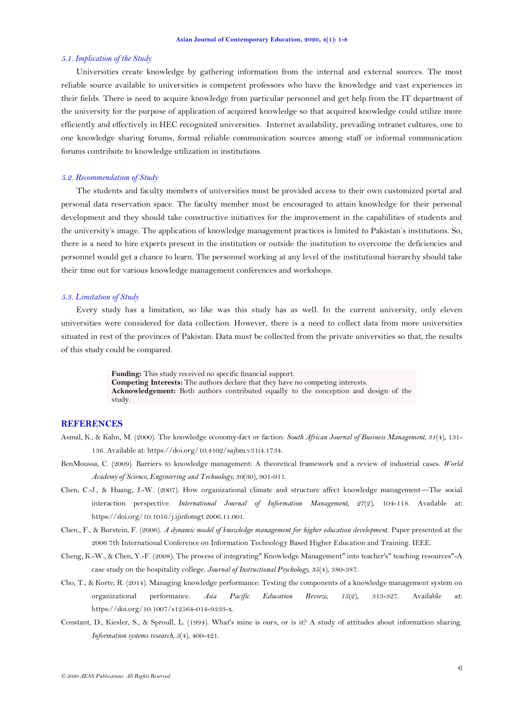#### *5.1. Implication of the Study*

Universities create knowledge by gathering information from the internal and external sources. The most reliable source available to universities is competent professors who have the knowledge and vast experiences in their fields. There is need to acquire knowledge from particular personnel and get help from the IT department of the university for the purpose of application of acquired knowledge so that acquired knowledge could utilize more efficiently and effectively in HEC recognized universities. Internet availability, prevailing intranet cultures, one to one knowledge sharing forums, formal reliable communication sources among staff or informal communication forums contribute to knowledge utilization in institutions.

#### *5.2. Recommendation of Study*

The students and faculty members of universities must be provided access to their own customized portal and personal data reservation space. The faculty member must be encouraged to attain knowledge for their personal development and they should take constructive initiatives for the improvement in the capabilities of students and the university"s image. The application of knowledge management practices is limited to Pakistan"s institutions. So, there is a need to hire experts present in the institution or outside the institution to overcome the deficiencies and personnel would get a chance to learn. The personnel working at any level of the institutional hierarchy should take their time out for various knowledge management conferences and workshops.

#### *5.3. Limitation of Study*

Every study has a limitation, so like was this study has as well. In the current university, only eleven universities were considered for data collection. However, there is a need to collect data from more universities situated in rest of the provinces of Pakistan. Data must be collected from the private universities so that, the results of this study could be compared.

> **Funding:** This study received no specific financial support. **Competing Interests:** The authors declare that they have no competing interests. **Acknowledgement:** Both authors contributed equally to the conception and design of the study.

## **REFERENCES**

- <span id="page-5-1"></span>Asmal, K., & Kahn, M. (2000). The knowledge economy-fact or faction. *South African Journal of Business Management, 31*(4), 131- 136. Available at: https://doi.org/10.4102/sajbm.v31i4.1734.
- <span id="page-5-0"></span>BenMoussa, C. (2009). Barriers to knowledge management: A theoretical framework and a review of industrial cases. *World Academy of Science, Engineering and Technology, 30*(30), 901-911.
- <span id="page-5-5"></span>Chen, C.-J., & Huang, J.-W. (2007). How organizational climate and structure affect knowledge management—The social interaction perspective. *International Journal of Information Management, 27*(2), 104-118. Available at: https://doi.org/10.1016/j.ijinfomgt.2006.11.001.
- <span id="page-5-3"></span>Chen., F., & Burstein, F. (2006). *A dynamic model of knowledge management for higher education development.* Paper presented at the 2006 7th International Conference on Information Technology Based Higher Education and Training. IEEE.
- <span id="page-5-2"></span>Cheng, K.-W., & Chen, Y.-F. (2008). The process of integrating" Knowledge Management" into teacher's" teaching resources"-A case study on the hospitality college. *Journal of Instructional Psychology, 35*(4), 380-387.
- <span id="page-5-4"></span>Cho, T., & Korte, R. (2014). Managing knowledge performance: Testing the components of a knowledge management system on organizational performance. *Asia Pacific Education Review, 15*(2), 313-327. Available at: https://doi.org/10.1007/s12564-014-9333-x.
- <span id="page-5-6"></span>Constant, D., Kiesler, S., & Sproull, L. (1994). What's mine is ours, or is it? A study of attitudes about information sharing. *Information systems research, 5*(4), 400-421.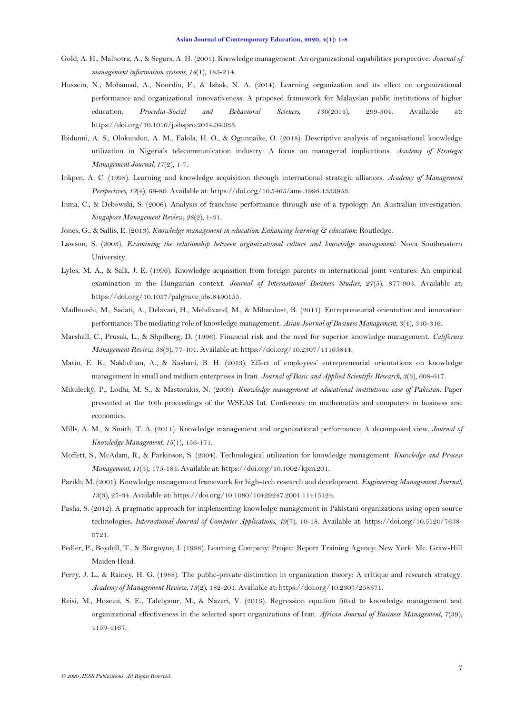- <span id="page-6-11"></span>Gold, A. H., Malhotra, A., & Segars, A. H. (2001). Knowledge management: An organizational capabilities perspective. *Journal of management information systems, 18*(1), 185-214.
- <span id="page-6-3"></span>Hussein, N., Mohamad, A., Noordin, F., & Ishak, N. A. (2014). Learning organization and its effect on organizational performance and organizational innovativeness: A proposed framework for Malaysian public institutions of higher education. *Procedia-Social and Behavioral Sciences, 130*(2014), 299-304. Available at: https://doi.org/10.1016/j.sbspro.2014.04.035.
- <span id="page-6-7"></span>Ibidunni, A. S., Olokundun, A. M., Falola, H. O., & Ogunnaike, O. (2018). Descriptive analysis of organisational knowledge utilization in Nigeria"s telecommunication industry: A focus on managerial implications. *Academy of Strategic Management Journal, 17*(2), 1-7.
- <span id="page-6-5"></span>Inkpen, A. C. (1998). Learning and knowledge acquisition through international strategic alliances. *Academy of Management Perspectives, 12*(4), 69-80. Available at: https://doi.org/10.5465/ame.1998.1333953.
- <span id="page-6-18"></span>Inma, C., & Debowski, S. (2006). Analysis of franchise performance through use of a typology: An Australian investigation. *Singapore Management Review, 28*(2), 1-31.
- <span id="page-6-1"></span>Jones, G., & Sallis, E. (2013). *Knowledge management in education: Enhancing learning & education*: Routledge.
- <span id="page-6-17"></span>Lawson, S. (2003). *Examining the relationship between organizational culture and knowledge management*: Nova Southeastern University.
- <span id="page-6-6"></span>Lyles, M. A., & Salk, J. E. (1996). Knowledge acquisition from foreign parents in international joint ventures: An empirical examination in the Hungarian context. *Journal of International Business Studies, 27*(5), 877-903. Available at: https://doi.org/10.1057/palgrave.jibs.8490155.
- <span id="page-6-12"></span>Madhoushi, M., Sadati, A., Delavari, H., Mehdivand, M., & Mihandost, R. (2011). Entrepreneurial orientation and innovation performance: The mediating role of knowledge management. *Asian Journal of Business Management, 3*(4), 310-316.
- <span id="page-6-15"></span>Marshall, C., Prusak, L., & Shpilberg, D. (1996). Financial risk and the need for superior knowledge management. *California Management Review, 38*(3), 77-101. Available at: https://doi.org/10.2307/41165844.
- <span id="page-6-13"></span>Matin, E. K., Nakhchian, A., & Kashani, B. H. (2013). Effect of employees" entrepreneurial orientations on knowledge management in small and medium enterprises in Iran. *Journal of Basic and Applied Scientific Research, 3*(3), 608-617.
- <span id="page-6-2"></span>Mikulecký, P., Lodhi, M. S., & Mastorakis, N. (2009). *Knowledge management at educational institutions: case of Pakistan.* Paper presented at the 10th proceedings of the WSEAS Int. Conference on mathematics and computers in business and economics.
- <span id="page-6-10"></span>Mills, A. M., & Smith, T. A. (2011). Knowledge management and organizational performance: A decomposed view. *Journal of Knowledge Management, 15*(1), 156-171.
- <span id="page-6-8"></span>Moffett, S., McAdam, R., & Parkinson, S. (2004). Technological utilization for knowledge management. *Knowledge and Process Management, 11*(3), 175-184. Available at: https://doi.org/10.1002/kpm.201.
- <span id="page-6-16"></span>Parikh, M. (2001). Knowledge management framework for high-tech research and development. *Engineering Management Journal, 13*(3), 27-34. Available at: https://doi.org/10.1080/10429247.2001.11415124.
- <span id="page-6-0"></span>Pasha, S. (2012). A pragmatic approach for implementing knowledge management in Pakistani organizations using open source technologies. *International Journal of Computer Applications, 49*(7), 10-18. Available at: https://doi.org/10.5120/7638- 0721.
- <span id="page-6-4"></span>Pedler, P., Boydell, T., & Burgoyne, J. (1988). Learning Company: Project Report Training Agency: New York: Mc. Graw-Hill Maiden Head.
- <span id="page-6-14"></span>Perry, J. L., & Rainey, H. G. (1988). The public-private distinction in organization theory: A critique and research strategy. *Academy of Management Review, 13*(2), 182-201. Available at: https://doi.org/10.2307/258571.
- <span id="page-6-9"></span>Reisi, M., Hoseini, S. E., Talebpour, M., & Nazari, V. (2013). Regression equation fitted to knowledge management and organizational effectiveness in the selected sport organizations of Iran. *African Journal of Business Management, 7*(39), 4159-4167.